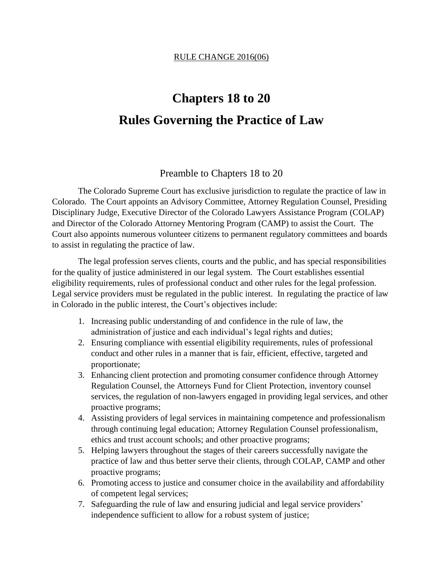## **Chapters 18 to 20 Rules Governing the Practice of Law**

## Preamble to Chapters 18 to 20

The Colorado Supreme Court has exclusive jurisdiction to regulate the practice of law in Colorado. The Court appoints an Advisory Committee, Attorney Regulation Counsel, Presiding Disciplinary Judge, Executive Director of the Colorado Lawyers Assistance Program (COLAP) and Director of the Colorado Attorney Mentoring Program (CAMP) to assist the Court. The Court also appoints numerous volunteer citizens to permanent regulatory committees and boards to assist in regulating the practice of law.

The legal profession serves clients, courts and the public, and has special responsibilities for the quality of justice administered in our legal system. The Court establishes essential eligibility requirements, rules of professional conduct and other rules for the legal profession. Legal service providers must be regulated in the public interest. In regulating the practice of law in Colorado in the public interest, the Court's objectives include:

- 1. Increasing public understanding of and confidence in the rule of law, the administration of justice and each individual's legal rights and duties;
- 2. Ensuring compliance with essential eligibility requirements, rules of professional conduct and other rules in a manner that is fair, efficient, effective, targeted and proportionate;
- 3. Enhancing client protection and promoting consumer confidence through Attorney Regulation Counsel, the Attorneys Fund for Client Protection, inventory counsel services, the regulation of non-lawyers engaged in providing legal services, and other proactive programs;
- 4. Assisting providers of legal services in maintaining competence and professionalism through continuing legal education; Attorney Regulation Counsel professionalism, ethics and trust account schools; and other proactive programs;
- 5. Helping lawyers throughout the stages of their careers successfully navigate the practice of law and thus better serve their clients, through COLAP, CAMP and other proactive programs;
- 6. Promoting access to justice and consumer choice in the availability and affordability of competent legal services;
- 7. Safeguarding the rule of law and ensuring judicial and legal service providers' independence sufficient to allow for a robust system of justice;